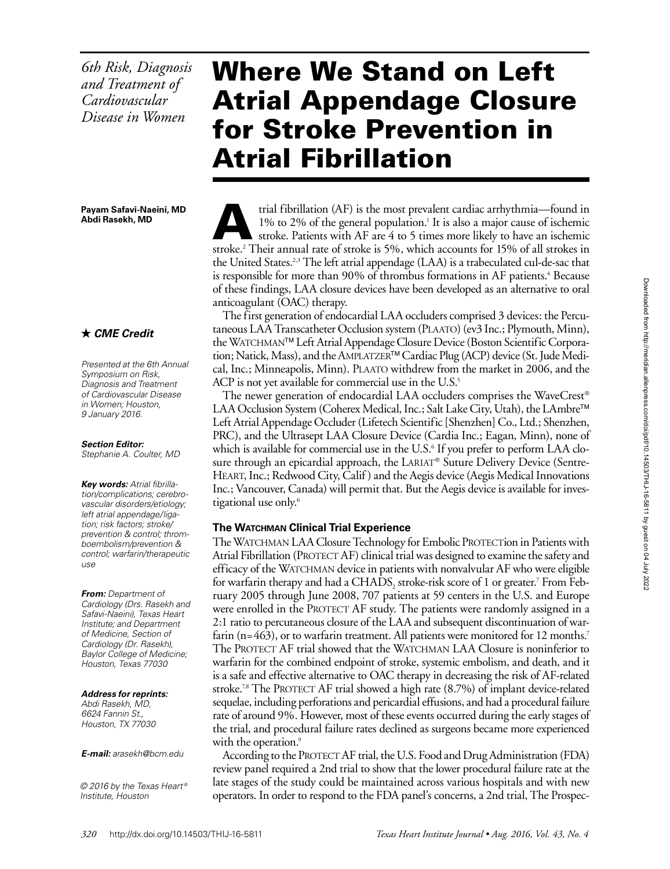*6th Risk, Diagnosis and Treatment of Cardiovascular Disease in Women* 

#### **Payam Safavi-Naeini, MD Abdi Rasekh, MD**

# *CME Credit*

*Presented at the 6th Annual Symposium on Risk, Diagnosis and Treatment of Cardiovascular Disease in Women; Houston, 9 January 2016.*

## *Section Editor:*

*Stephanie A. Coulter, MD*

*Key words: Atrial fibrillation/complications; cerebrovascular disorders/etiology; left atrial appendage/ligation; risk factors; stroke/ prevention & control; thromboembolism/prevention & control; warfarin/therapeutic use*

#### *From: Department of Cardiology (Drs. Rasekh and Safavi-Naeini), Texas Heart Institute; and Department of Medicine, Section of Cardiology (Dr. Rasekh), Baylor College of Medicine; Houston, Texas 77030*

## *Address for reprints:*

*Abdi Rasekh, MD, 6624 Fannin St., Houston, TX 77030*

## *E-mail: arasekh@bcm.edu*

*© 2016 by the Texas Heart ® Institute, Houston*

# Where We Stand on Left Atrial Appendage Closure for Stroke Prevention in Atrial Fibrillation

trial fibrillation (AF) is the most prevalent cardiac arrhythmia—found in 1% to 2% of the general population.<sup>1</sup> It is also a major cause of ischemic stroke. Patients with AF are 4 to 5 times more likely to have an ischemi 1% to 2% of the general population.<sup>1</sup> It is also a major cause of ischemic stroke.2 Their annual rate of stroke is 5%, which accounts for 15% of all strokes in the United States.<sup>2,3</sup> The left atrial appendage (LAA) is a trabeculated cul-de-sac that is responsible for more than 90% of thrombus formations in AF patients.<sup>4</sup> Because of these findings, LAA closure devices have been developed as an alternative to oral anticoagulant (OAC) therapy.

The first generation of endocardial LAA occluders comprised 3 devices: the Percutaneous LAA Transcatheter Occlusion system (Plaato) (ev3 Inc.; Plymouth, Minn), the WATCHMAN<sup>™</sup> Left Atrial Appendage Closure Device (Boston Scientific Corporation; Natick, Mass), and the AMPLATZER™ Cardiac Plug (ACP) device (St. Jude Medical, Inc.; Minneapolis, Minn). Plaato withdrew from the market in 2006, and the ACP is not yet available for commercial use in the U.S.<sup>5</sup>

The newer generation of endocardial LAA occluders comprises the WaveCrest® LAA Occlusion System (Coherex Medical, Inc.; Salt Lake City, Utah), the LAmbre<sup>™</sup> Left Atrial Appendage Occluder (Lifetech Scientific [Shenzhen] Co., Ltd.; Shenzhen, PRC), and the Ultrasept LAA Closure Device (Cardia Inc.; Eagan, Minn), none of which is available for commercial use in the U.S.<sup>6</sup> If you prefer to perform LAA closure through an epicardial approach, the LARIAT® Suture Delivery Device (Sentre-Heart, Inc.; Redwood City, Calif ) and the Aegis device (Aegis Medical Innovations Inc.; Vancouver, Canada) will permit that. But the Aegis device is available for investigational use only.<sup>6</sup>

# **The Watchman Clinical Trial Experience**

The WATCHMAN LAA Closure Technology for Embolic PROTECTion in Patients with Atrial Fibrillation (PROTECT AF) clinical trial was designed to examine the safety and efficacy of the WATCHMAN device in patients with nonvalvular AF who were eligible for warfarin therapy and had a CHADS, stroke-risk score of 1 or greater.<sup>7</sup> From February 2005 through June 2008, 707 patients at 59 centers in the U.S. and Europe were enrolled in the PROTECT AF study. The patients were randomly assigned in a 2:1 ratio to percutaneous closure of the LAA and subsequent discontinuation of warfarin ( $n=463$ ), or to warfarin treatment. All patients were monitored for 12 months.<sup>7</sup> The PROTECT AF trial showed that the WATCHMAN LAA Closure is noninferior to warfarin for the combined endpoint of stroke, systemic embolism, and death, and it is a safe and effective alternative to OAC therapy in decreasing the risk of AF-related stroke.<sup>7,8</sup> The PROTECT AF trial showed a high rate  $(8.7%)$  of implant device-related sequelae, including perforations and pericardial effusions, and had a procedural failure rate of around 9%. However, most of these events occurred during the early stages of the trial, and procedural failure rates declined as surgeons became more experienced with the operation.<sup>9</sup>

According to the PROTECT AF trial, the U.S. Food and Drug Administration (FDA) review panel required a 2nd trial to show that the lower procedural failure rate at the late stages of the study could be maintained across various hospitals and with new operators. In order to respond to the FDA panel's concerns, a 2nd trial, The Prospec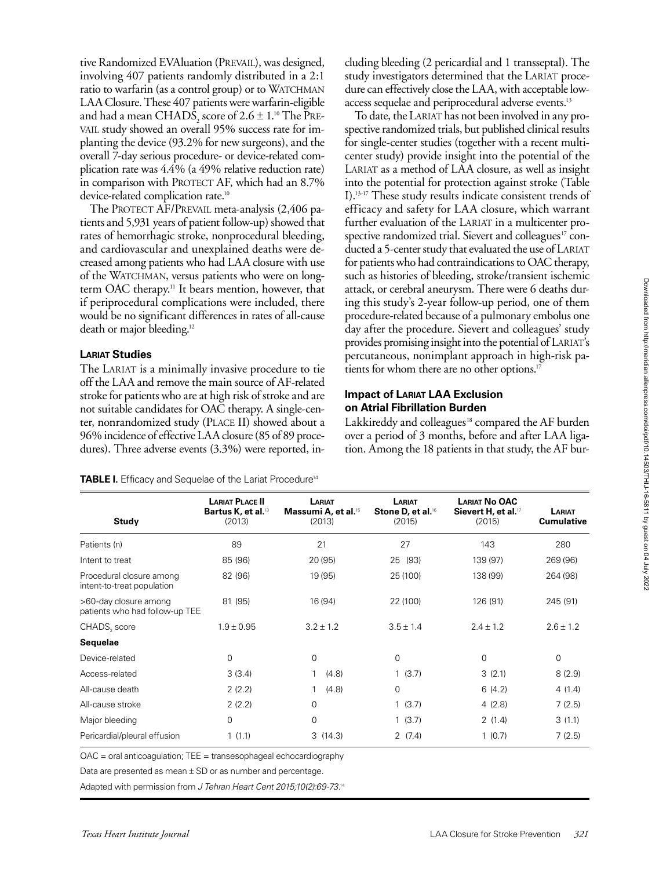tive Randomized EVAluation (PREVAIL), was designed, involving 407 patients randomly distributed in a 2:1 ratio to warfarin (as a control group) or to WATCHMAN LAA Closure. These 407 patients were warfarin-eligible and had a mean CHADS $_2$  score of 2.6  $\pm$  1.<sup>10</sup> The Prevail study showed an overall 95% success rate for implanting the device (93.2% for new surgeons), and the overall 7-day serious procedure- or device-related complication rate was 4.4% (a 49% relative reduction rate) in comparison with PROTECT AF, which had an 8.7% device-related complication rate.<sup>10</sup>

The PROTECT AF/PREVAIL meta-analysis (2,406 patients and 5,931 years of patient follow-up) showed that rates of hemorrhagic stroke, nonprocedural bleeding, and cardiovascular and unexplained deaths were decreased among patients who had LAA closure with use of the WATCHMAN, versus patients who were on longterm OAC therapy.<sup>11</sup> It bears mention, however, that if periprocedural complications were included, there would be no significant differences in rates of all-cause death or major bleeding.12

## **Lariat Studies**

The LARIAT is a minimally invasive procedure to tie off the LAA and remove the main source of AF-related stroke for patients who are at high risk of stroke and are not suitable candidates for OAC therapy. A single-center, nonrandomized study (Place II) showed about a 96% incidence of effective LAA closure (85 of 89 procedures). Three adverse events (3.3%) were reported, including bleeding (2 pericardial and 1 transseptal). The study investigators determined that the LARIAT procedure can effectively close the LAA, with acceptable lowaccess sequelae and periprocedural adverse events.13

To date, the LARIAT has not been involved in any prospective randomized trials, but published clinical results for single-center studies (together with a recent multicenter study) provide insight into the potential of the LARIAT as a method of LAA closure, as well as insight into the potential for protection against stroke (Table I).13-17 These study results indicate consistent trends of efficacy and safety for LAA closure, which warrant further evaluation of the LARIAT in a multicenter prospective randomized trial. Sievert and colleagues<sup>17</sup> conducted a 5-center study that evaluated the use of LARIAT for patients who had contraindications to OAC therapy, such as histories of bleeding, stroke/transient ischemic attack, or cerebral aneurysm. There were 6 deaths during this study's 2-year follow-up period, one of them procedure-related because of a pulmonary embolus one day after the procedure. Sievert and colleagues' study provides promising insight into the potential of LARIAT's percutaneous, nonimplant approach in high-risk patients for whom there are no other options.<sup>17</sup>

# **Impact of Lariat LAA Exclusion on Atrial Fibrillation Burden**

Lakkireddy and colleagues<sup>18</sup> compared the AF burden over a period of 3 months, before and after LAA ligation. Among the 18 patients in that study, the AF bur-

|  | <b>TABLE I.</b> Efficacy and Sequelae of the Lariat Procedure <sup>14</sup> |  |
|--|-----------------------------------------------------------------------------|--|
|--|-----------------------------------------------------------------------------|--|

| <b>Study</b>                                            | <b>LARIAT PLACE II</b><br>Bartus K, et al. <sup>13</sup><br>(2013) | LARIAT<br><b>Massumi A, et al.</b> <sup>15</sup><br>(2013) | LARIAT<br>Stone D, et al. <sup>16</sup><br>(2015) | <b>LARIAT No OAC</b><br>Sievert H, et al. <sup>17</sup><br>(2015) | LARIAT<br><b>Cumulative</b> |
|---------------------------------------------------------|--------------------------------------------------------------------|------------------------------------------------------------|---------------------------------------------------|-------------------------------------------------------------------|-----------------------------|
| Patients (n)                                            | 89                                                                 | 21                                                         | 27                                                | 143                                                               | 280                         |
| Intent to treat                                         | 85 (96)                                                            | 20 (95)                                                    | 25 (93)                                           | 139 (97)                                                          | 269 (96)                    |
| Procedural closure among<br>intent-to-treat population  | 82 (96)                                                            | 19 (95)                                                    | 25 (100)                                          | 138 (99)                                                          | 264 (98)                    |
| >60-day closure among<br>patients who had follow-up TEE | 81 (95)                                                            | 16 (94)                                                    | 22 (100)                                          | 126 (91)                                                          | 245 (91)                    |
| CHADS, score                                            | $1.9 \pm 0.95$                                                     | $3.2 \pm 1.2$                                              | $3.5 \pm 1.4$                                     | $2.4 \pm 1.2$                                                     | $2.6 \pm 1.2$               |
| Sequelae                                                |                                                                    |                                                            |                                                   |                                                                   |                             |
| Device-related                                          | 0                                                                  | 0                                                          | 0                                                 | 0                                                                 | 0                           |
| Access-related                                          | 3(3.4)                                                             | (4.8)                                                      | 1(3.7)                                            | 3(2.1)                                                            | 8(2.9)                      |
| All-cause death                                         | 2(2.2)                                                             | (4.8)                                                      | 0                                                 | 6(4.2)                                                            | 4(1.4)                      |
| All-cause stroke                                        | 2(2.2)                                                             | $\mathbf 0$                                                | 1(3.7)                                            | 4(2.8)                                                            | 7(2.5)                      |
| Major bleeding                                          | 0                                                                  | 0                                                          | 1(3.7)                                            | 2(1.4)                                                            | 3(1.1)                      |
| Pericardial/pleural effusion                            | 1(1.1)                                                             | 3(14.3)                                                    | 2(7.4)                                            | 1(0.7)                                                            | 7(2.5)                      |

OAC = oral anticoagulation; TEE = transesophageal echocardiography

Data are presented as mean  $\pm$  SD or as number and percentage.

Adapted with permission from *J Tehran Heart Cent 2015;10(2):69-73*. 14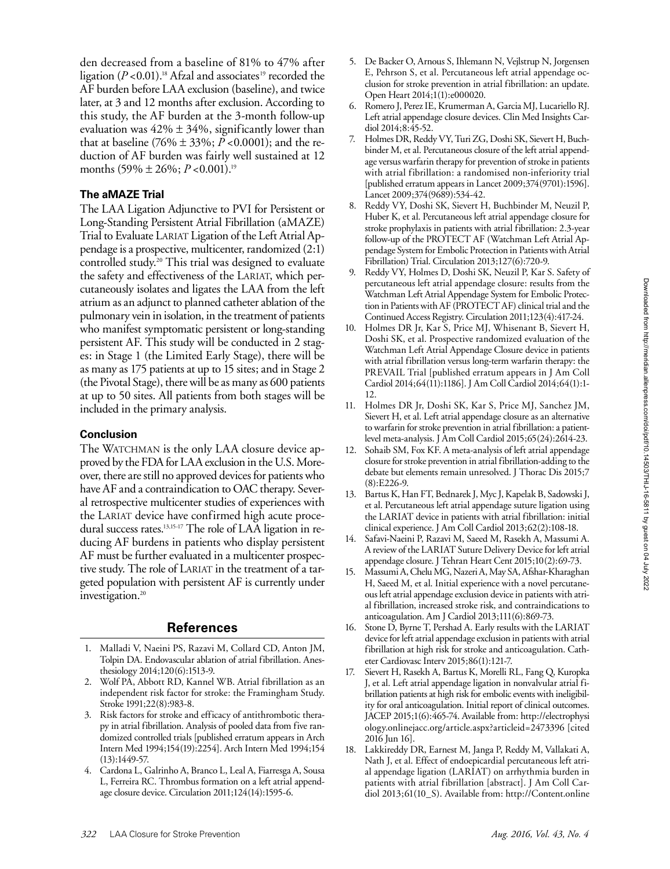den decreased from a baseline of 81% to 47% after ligation  $(P<0.01)$ .<sup>18</sup> Afzal and associates<sup>19</sup> recorded the AF burden before LAA exclusion (baseline), and twice later, at 3 and 12 months after exclusion. According to this study, the AF burden at the 3-month follow-up evaluation was  $42\% \pm 34\%$ , significantly lower than that at baseline (76%  $\pm$  33%; *P* <0.0001); and the reduction of AF burden was fairly well sustained at 12 months (59% ± 26%; *P* <0.001).19

# **The aMAZE Trial**

The LAA Ligation Adjunctive to PVI for Persistent or Long-Standing Persistent Atrial Fibrillation (aMAZE) Trial to Evaluate LARIAT Ligation of the Left Atrial Appendage is a prospective, multicenter, randomized (2:1) controlled study.20 This trial was designed to evaluate the safety and effectiveness of the LARIAT, which percutaneously isolates and ligates the LAA from the left atrium as an adjunct to planned catheter ablation of the pulmonary vein in isolation, in the treatment of patients who manifest symptomatic persistent or long-standing persistent AF. This study will be conducted in 2 stages: in Stage 1 (the Limited Early Stage), there will be as many as 175 patients at up to 15 sites; and in Stage 2 (the Pivotal Stage), there will be as many as 600 patients at up to 50 sites. All patients from both stages will be included in the primary analysis.

## **Conclusion**

The WATCHMAN is the only LAA closure device approved by the FDA for LAA exclusion in the U.S. Moreover, there are still no approved devices for patients who have AF and a contraindication to OAC therapy. Several retrospective multicenter studies of experiences with the LARIAT device have confirmed high acute procedural success rates.<sup>13,15-17</sup> The role of LAA ligation in reducing AF burdens in patients who display persistent AF must be further evaluated in a multicenter prospective study. The role of LARIAT in the treatment of a targeted population with persistent AF is currently under investigation.<sup>20</sup>

## **References**

- 1. Malladi V, Naeini PS, Razavi M, Collard CD, Anton JM, Tolpin DA. Endovascular ablation of atrial fibrillation. Anesthesiology 2014;120(6):1513-9.
- 2. Wolf PA, Abbott RD, Kannel WB. Atrial fibrillation as an independent risk factor for stroke: the Framingham Study. Stroke 1991;22(8):983-8.
- 3. Risk factors for stroke and efficacy of antithrombotic therapy in atrial fibrillation. Analysis of pooled data from five randomized controlled trials [published erratum appears in Arch Intern Med 1994;154(19):2254]. Arch Intern Med 1994;154 (13):1449-57.
- 4. Cardona L, Galrinho A, Branco L, Leal A, Fiarresga A, Sousa L, Ferreira RC. Thrombus formation on a left atrial appendage closure device. Circulation 2011;124(14):1595-6.
- 5. De Backer O, Arnous S, Ihlemann N, Vejlstrup N, Jorgensen E, Pehrson S, et al. Percutaneous left atrial appendage occlusion for stroke prevention in atrial fibrillation: an update. Open Heart 2014;1(1):e000020.
- 6. Romero J, Perez IE, Krumerman A, Garcia MJ, Lucariello RJ. Left atrial appendage closure devices. Clin Med Insights Cardiol 2014;8:45-52.
- 7. Holmes DR, Reddy VY, Turi ZG, Doshi SK, Sievert H, Buchbinder M, et al. Percutaneous closure of the left atrial appendage versus warfarin therapy for prevention of stroke in patients with atrial fibrillation: a randomised non-inferiority trial [published erratum appears in Lancet 2009;374(9701):1596]. Lancet 2009;374(9689):534-42.
- 8. Reddy VY, Doshi SK, Sievert H, Buchbinder M, Neuzil P, Huber K, et al. Percutaneous left atrial appendage closure for stroke prophylaxis in patients with atrial fibrillation: 2.3-year follow-up of the PROTECT AF (Watchman Left Atrial Appendage System for Embolic Protection in Patients with Atrial Fibrillation) Trial. Circulation 2013;127(6):720-9.
- 9. Reddy VY, Holmes D, Doshi SK, Neuzil P, Kar S. Safety of percutaneous left atrial appendage closure: results from the Watchman Left Atrial Appendage System for Embolic Protection in Patients with AF (PROTECT AF) clinical trial and the Continued Access Registry. Circulation 2011;123(4):417-24.
- 10. Holmes DR Jr, Kar S, Price MJ, Whisenant B, Sievert H, Doshi SK, et al. Prospective randomized evaluation of the Watchman Left Atrial Appendage Closure device in patients with atrial fibrillation versus long-term warfarin therapy: the PREVAIL Trial [published erratum appears in J Am Coll Cardiol 2014;64(11):1186]. J Am Coll Cardiol 2014;64(1):1- 12.
- 11. Holmes DR Jr, Doshi SK, Kar S, Price MJ, Sanchez JM, Sievert H, et al. Left atrial appendage closure as an alternative to warfarin for stroke prevention in atrial fibrillation: a patientlevel meta-analysis. J Am Coll Cardiol 2015;65(24):2614-23.
- 12. Sohaib SM, Fox KF. A meta-analysis of left atrial appendage closure for stroke prevention in atrial fibrillation-adding to the debate but elements remain unresolved. J Thorac Dis 2015;7 (8):E226-9.
- 13. Bartus K, Han FT, Bednarek J, Myc J, Kapelak B, Sadowski J, et al. Percutaneous left atrial appendage suture ligation using the LARIAT device in patients with atrial fibrillation: initial clinical experience. J Am Coll Cardiol 2013;62(2):108-18.
- 14. Safavi-Naeini P, Razavi M, Saeed M, Rasekh A, Massumi A. A review of the LARIAT Suture Delivery Device for left atrial appendage closure. J Tehran Heart Cent 2015;10(2):69-73.
- 15. Massumi A, Chelu MG, Nazeri A, May SA, Afshar-Kharaghan H, Saeed M, et al. Initial experience with a novel percutaneous left atrial appendage exclusion device in patients with atrial fibrillation, increased stroke risk, and contraindications to anticoagulation. Am J Cardiol 2013;111(6):869-73.
- 16. Stone D, Byrne T, Pershad A. Early results with the LARIAT device for left atrial appendage exclusion in patients with atrial fibrillation at high risk for stroke and anticoagulation. Catheter Cardiovasc Interv 2015;86(1):121-7.
- 17. Sievert H, Rasekh A, Bartus K, Morelli RL, Fang Q, Kuropka J, et al. Left atrial appendage ligation in nonvalvular atrial fibrillation patients at high risk for embolic events with ineligibility for oral anticoagulation. Initial report of clinical outcomes. JACEP 2015;1(6):465-74. Available from: http://electrophysi ology.onlinejacc.org/article.aspx?articleid=2473396 [cited 2016 Jun 16].
- 18. Lakkireddy DR, Earnest M, Janga P, Reddy M, Vallakati A, Nath J, et al. Effect of endoepicardial percutaneous left atrial appendage ligation (LARIAT) on arrhythmia burden in patients with atrial fibrillation [abstract]. J Am Coll Cardiol 2013;61(10\_S). Available from: http://Content.online